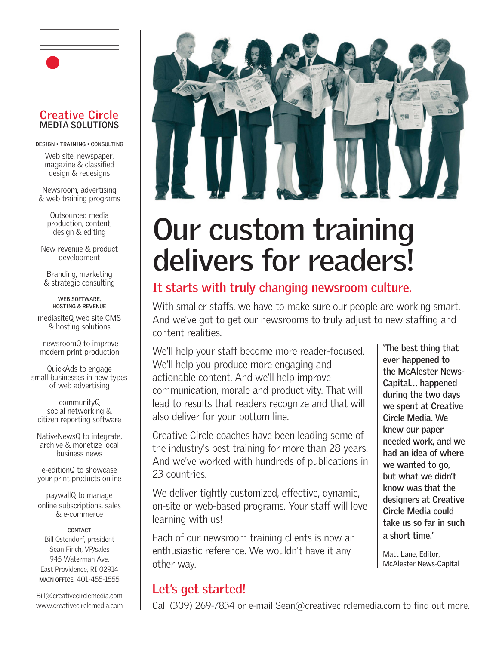

**DESIGN • TRAINING • CONSULTING** 

Web site, newspaper, magazine & classified design & redesigns

Newsroom, advertising & web training programs

> Outsourced media production, content, design & editing

New revenue & product development

Branding, marketing & strategic consulting

> **WEB SOFTWARE, HOSTING & REVENUE**

mediasiteQ web site CMS & hosting solutions

 newsroomQ to improve modern print production

QuickAds to engage small businesses in new types of web advertising

communityQ social networking & citizen reporting software

NativeNewsQ to integrate, archive & monetize local business news

e-editionQ to showcase your print products online

paywallQ to manage online subscriptions, sales & e-commerce

#### **CONTACT**

Bill Ostendorf, president Sean Finch, VP/sales 945 Waterman Ave. East Providence, RI 02914 **MAIN OFFICE:** 401-455-1555

Bill@creativecirclemedia.com www.creativecirclemedia.com



# **Our custom training delivers for readers!**

### **It starts with truly changing newsroom culture.**

With smaller staffs, we have to make sure our people are working smart. And we've got to get our newsrooms to truly adjust to new staffing and content realities.

We'll help your staff become more reader-focused. We'll help you produce more engaging and actionable content. And we'll help improve communication, morale and productivity. That will lead to results that readers recognize and that will also deliver for your bottom line.

Creative Circle coaches have been leading some of the industry's best training for more than 28 years. And we've worked with hundreds of publications in 23 countries.

We deliver tightly customized, effective, dynamic, on-site or web-based programs. Your staff will love learning with us!

Each of our newsroom training clients is now an enthusiastic reference. We wouldn't have it any other way.

## **Let's get started!**

Call (309) 269-7834 or e-mail Sean@creativecirclemedia.com to find out more.

**'The best thing that ever happened to the McAlester News-Capital... happened during the two days we spent at Creative Circle Media. We knew our paper needed work, and we had an idea of where we wanted to go, but what we didn't know was that the designers at Creative Circle Media could take us so far in such a short time.'**

Matt Lane, Editor, McAlester News-Capital